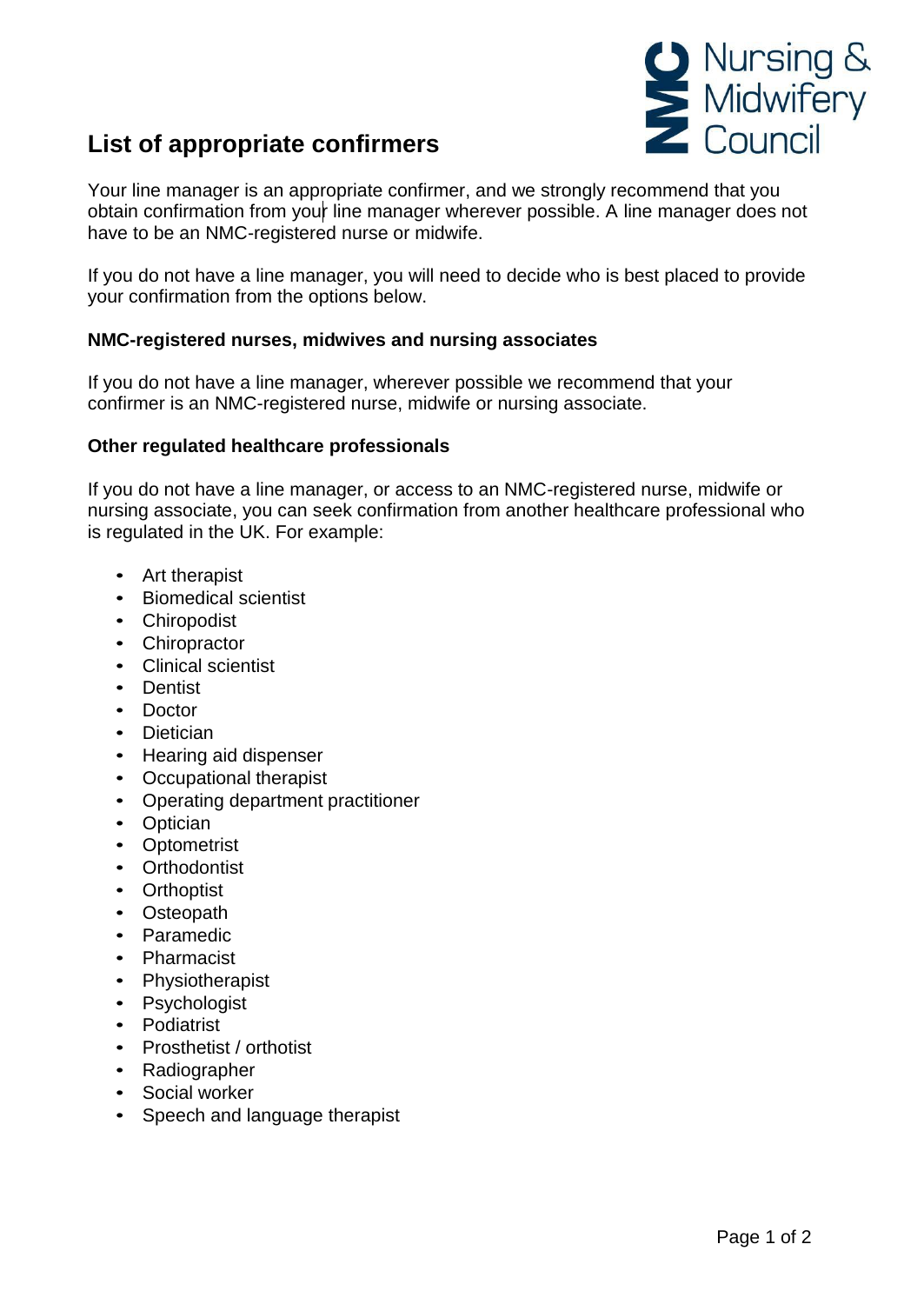

## **List of appropriate confirmers**

Your line manager is an appropriate confirmer, and we strongly recommend that you obtain confirmation from your line manager wherever possible. A line manager does not have to be an NMC-registered nurse or midwife.

If you do not have a line manager, you will need to decide who is best placed to provide your confirmation from the options below.

## **NMC-registered nurses, midwives and nursing associates**

If you do not have a line manager, wherever possible we recommend that your confirmer is an NMC-registered nurse, midwife or nursing associate.

## **Other regulated healthcare professionals**

If you do not have a line manager, or access to an NMC-registered nurse, midwife or nursing associate, you can seek confirmation from another healthcare professional who is regulated in the UK. For example:

- Art therapist
- Biomedical scientist
- Chiropodist
- Chiropractor
- Clinical scientist
- Dentist
- Doctor
- Dietician
- Hearing aid dispenser
- Occupational therapist
- Operating department practitioner
- Optician
- Optometrist
- Orthodontist
- Orthoptist
- Osteopath
- Paramedic
- Pharmacist
- Physiotherapist
- Psychologist
- Podiatrist
- Prosthetist / orthotist
- Radiographer
- Social worker
- Speech and language therapist